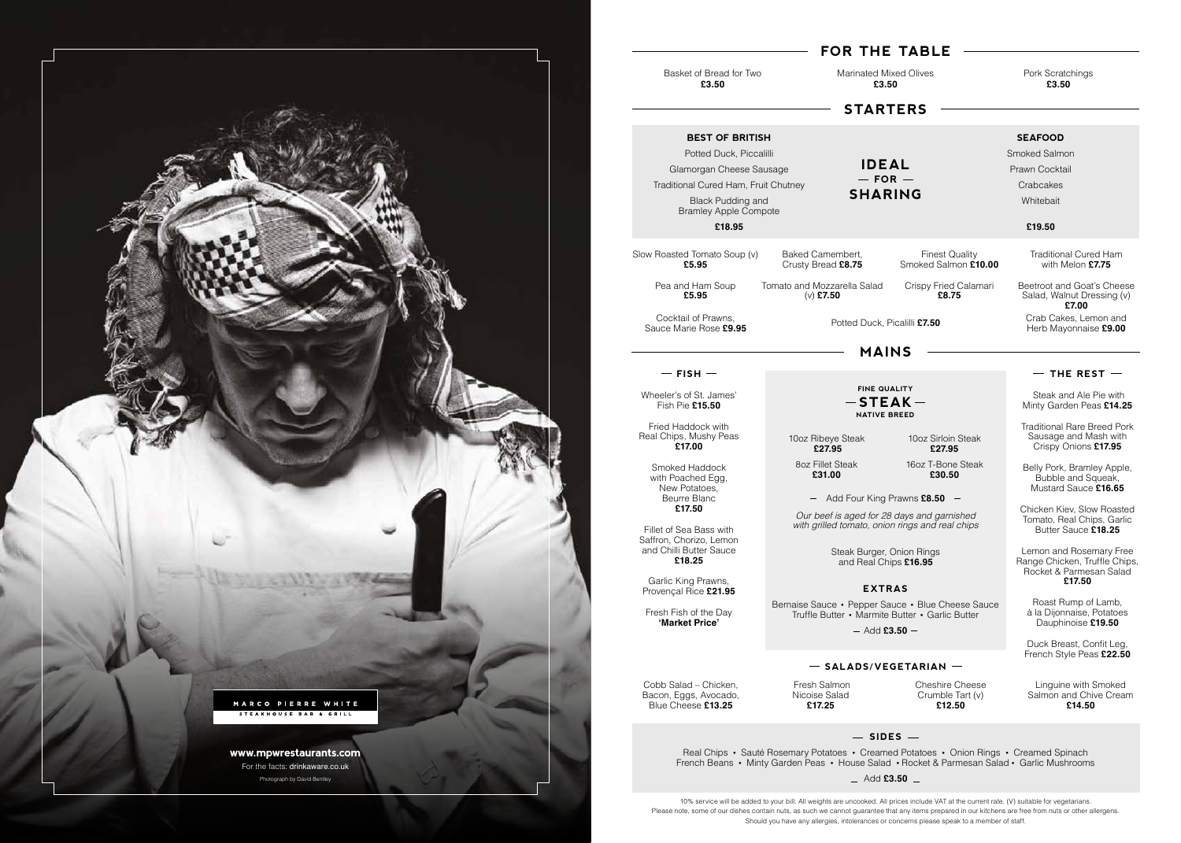

# **MAINS**

 $-$  FISH  $-$ 

Real Chips • Sauté Rosemary Potatoes • Creamed Potatoes • Onion Rings • Creamed Spinach French Beans • Minty Garden Peas • House Salad • Rocket & Parmesan Salad • Garlic Mushrooms Add **£3.50**

**STARTERS**

Basket of Bread for Two **£3.50**

Marinated Mixed Olives **£3.50**

### Pork Scratchings **£3.50**

# **FOR THE TABLE**

Cobb Salad – Chicken, Bacon, Eggs, Avocado, Blue Cheese **£13.25**

 Fresh Salmon Nicoise Salad **£17.25**

Cheshire Cheese Crumble Tart (v) **£12.50**

Linguine with Smoked Salmon and Chive Cream **£14.50**

# $-$  SIDES  $-$

Potted Duck, Picalilli **£7.50**

# **BEST OF BRITISH**

Potted Duck, Piccalilli Glamorgan Cheese Sausage Traditional Cured Ham, Fruit Chutney Black Pudding and Bramley Apple Compote

#### **£18.95**

## **SEAFOOD**

Smoked Salmon Prawn Cocktail **Crabcakes** Whitebait

## **£19.50**

**IDEAL**  $-$  FOR  $-$ **SHARING**

Wheeler's of St. James' Fish Pie **£15.50**

Fried Haddock with Real Chips, Mushy Peas **£17.00**

> Smoked Haddock with Poached Egg, New Potatoes, Beurre Blanc **£17.50**

Fillet of Sea Bass with Saffron, Chorizo, Lemon and Chilli Butter Sauce **£18.25**

**FINE QUALITY NATIVE BREED**  $-$ **STEAK** $-$ 

Garlic King Prawns, Provençal Rice **£21.95**

Fresh Fish of the Day **'Market Price'**

Steak and Ale Pie with Minty Garden Peas **£14.25**

Traditional Rare Breed Pork Sausage and Mash with Crispy Onions **£17.95**

Belly Pork, Bramley Apple, Bubble and Squeak. Mustard Sauce **£16.65** 

Chicken Kiev, Slow Roasted Tomato, Real Chips, Garlic Butter Sauce **£18.25**

Lemon and Rosemary Free Range Chicken, Truffle Chips, Rocket & Parmesan Salad **£17.50**

Roast Rump of Lamb, à la Dijonnaise, Potatoes Dauphinoise **£19.50**

Duck Breast, Confit Leg, French Style Peas **£22.50**

Slow Roasted Tomato Soup (v) **£5.95**

> Pea and Ham Soup **£5.95**

Baked Camembert, Crusty Bread **£8.75**

Tomato and Mozzarella Salad (v) **£7.50**

Finest Quality Smoked Salmon **£10.00**

Crispy Fried Calamari **£8.75**

Traditional Cured Ham with Melon **£7.75**

Add Four King Prawns **£8.50**

# **EXTRAS**

Bernaise Sauce • Pepper Sauce • Blue Cheese Sauce Truffle Butter • Marmite Butter • Garlic Butter

 $-$  Add £3.50  $-$ 

# $-$  SALADS/VEGETARIAN  $-$

*Our beef is aged for 28 days and garnished with grilled tomato, onion rings and real chips*

10oz Ribeye Steak **£27.95** 8oz Fillet Steak **£31.00**

10oz Sirloin Steak **£27.95**

16oz T-Bone Steak **£30.50**

Beetroot and Goat's Cheese Salad, Walnut Dressing (v) **£7.00** Crab Cakes, Lemon and

10% service will be added to your bill. All weights are uncooked. All prices include VAT at the current rate. (V) suitable for vegetarians. Please note, some of our dishes contain nuts, as such we cannot guarantee that any items prepared in our kitchens are free from nuts or other allergens. Should you have any allergies, intolerances or concerns please speak to a member of staff.

Steak Burger, Onion Rings and Real Chips **£16.95**

Herb Mayonnaise **£9.00**

## $-$  THE REST  $-$

Cocktail of Prawns, Sauce Marie Rose **£9.95**